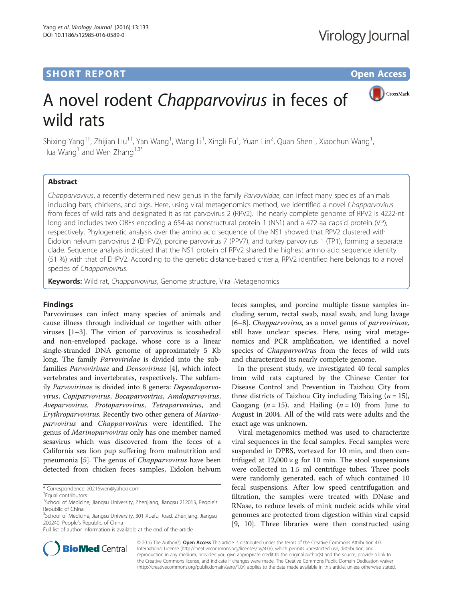# **SHORT REPORT SHORT CONSUMING THE CONSUMING THE CONSUMING THE CONSUMING THE CONSUMING THE CONSUMING THE CONSUMING THE CONSUMING THE CONSUMING THE CONSUMING THE CONSUMING THE CONSUMING THE CONSUMING THE CONSUMING THE CONS**

CrossMark

# A novel rodent Chapparvovirus in feces of wild rats

Shixing Yang<sup>1+</sup>, Zhijian Liu<sup>1+</sup>, Yan Wang<sup>1</sup>, Wang Li<sup>1</sup>, Xingli Fu<sup>1</sup>, Yuan Lin<sup>2</sup>, Quan Shen<sup>1</sup>, Xiaochun Wang<sup>1</sup> , Hua Wang<sup>1</sup> and Wen Zhang<sup>1,3\*</sup>

# Abstract

Chapparvovirus, a recently determined new genus in the family Parvoviridae, can infect many species of animals including bats, chickens, and pigs. Here, using viral metagenomics method, we identified a novel Chapparvovirus from feces of wild rats and designated it as rat parvovirus 2 (RPV2). The nearly complete genome of RPV2 is 4222-nt long and includes two ORFs encoding a 654-aa nonstructural protein 1 (NS1) and a 472-aa capsid protein (VP), respectively. Phylogenetic analysis over the amino acid sequence of the NS1 showed that RPV2 clustered with Eidolon helvum parvovirus 2 (EHPV2), porcine parvovirus 7 (PPV7), and turkey parvovirus 1 (TP1), forming a separate clade. Sequence analysis indicated that the NS1 protein of RPV2 shared the highest amino acid sequence identity (51 %) with that of EHPV2. According to the genetic distance-based criteria, RPV2 identified here belongs to a novel species of Chapparvovirus.

Keywords: Wild rat, Chapparvovirus, Genome structure, Viral Metagenomics

## Findings

Parvoviruses can infect many species of animals and cause illness through individual or together with other viruses [\[1](#page-3-0)–[3](#page-3-0)]. The virion of parvovirus is icosahedral and non-enveloped package, whose core is a linear single-stranded DNA genome of approximately 5 Kb long. The family Parvoviridae is divided into the subfamilies Parvovirinae and Densovirinae [[4\]](#page-3-0), which infect vertebrates and invertebrates, respectively. The subfamily Parvovirinae is divided into 8 genera: Dependoparvovirus, Copiparvovirus, Bocaparvovirus, Amdoparvovirus, Aveparvovirus, Protoparvovirus, Tetraparvovirus, and Erythroparvovirus. Recently two other genera of Marinoparvovirus and Chapparvovirus were identified. The genus of Marinoparvovirus only has one member named sesavirus which was discovered from the feces of a California sea lion pup suffering from malnutrition and pneumonia [\[5](#page-3-0)]. The genus of *Chapparvovirus* have been detected from chicken feces samples, Eidolon helvum

\* Correspondence: [z0216wen@yahoo.com](mailto:z0216wen@yahoo.com) †

Full list of author information is available at the end of the article

feces samples, and porcine multiple tissue samples including serum, rectal swab, nasal swab, and lung lavage [[6](#page-3-0)–[8\]](#page-3-0). Chapparvovirus, as a novel genus of parvovirinae, still have unclear species. Here, using viral metagenomics and PCR amplification, we identified a novel species of *Chapparvovirus* from the feces of wild rats and characterized its nearly complete genome.

In the present study, we investigated 40 fecal samples from wild rats captured by the Chinese Center for Disease Control and Prevention in Taizhou City from three districts of Taizhou City including Taixing  $(n = 15)$ , Gaogang ( $n = 15$ ), and Hailing ( $n = 10$ ) from June to August in 2004. All of the wild rats were adults and the exact age was unknown.

Viral metagenomics method was used to characterize viral sequences in the fecal samples. Fecal samples were suspended in DPBS, vortexed for 10 min, and then centrifuged at  $12,000 \times g$  for 10 min. The stool suspensions were collected in 1.5 ml centrifuge tubes. Three pools were randomly generated, each of which contained 10 fecal suspensions. After low speed centrifugation and filtration, the samples were treated with DNase and RNase, to reduce levels of mink nucleic acids while viral genomes are protected from digestion within viral capsid [[9, 10](#page-3-0)]. Three libraries were then constructed using



© 2016 The Author(s). Open Access This article is distributed under the terms of the Creative Commons Attribution 4.0 International License [\(http://creativecommons.org/licenses/by/4.0/](http://creativecommons.org/licenses/by/4.0/)), which permits unrestricted use, distribution, and reproduction in any medium, provided you give appropriate credit to the original author(s) and the source, provide a link to the Creative Commons license, and indicate if changes were made. The Creative Commons Public Domain Dedication waiver [\(http://creativecommons.org/publicdomain/zero/1.0/](http://creativecommons.org/publicdomain/zero/1.0/)) applies to the data made available in this article, unless otherwise stated.

Equal contributors

<sup>&</sup>lt;sup>1</sup>School of Medicine, Jiangsu University, Zhenjiang, Jiangsu 212013, People's Republic of China

<sup>&</sup>lt;sup>3</sup>School of Medicine, Jiangsu University, 301 Xuefu Road, Zhenjiang, Jiangsu 200240, People's Republic of China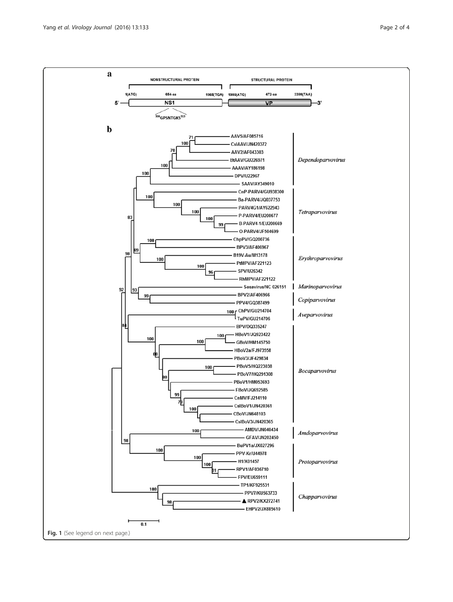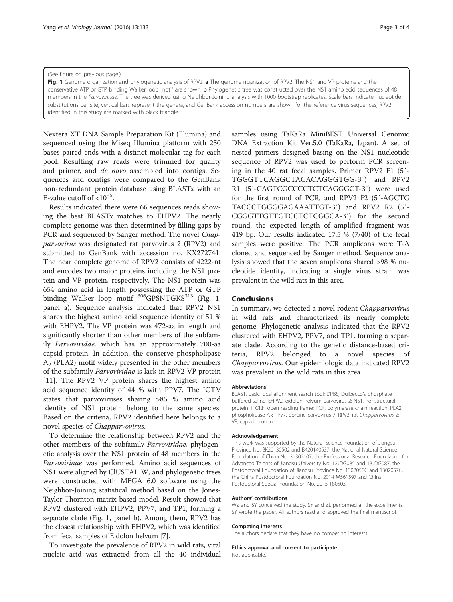#### (See figure on previous page.)

Fig. 1 Genome organization and phylogenetic analysis of RPV2. a The genome rrganization of RPV2. The NS1 and VP proteins and the conservative ATP or GTP binding Walker loop motif are shown. **b** Phylogenetic tree was constructed over the NS1 amino acid sequences of 48 members in the Parvovirinae. The tree was derived using Neighbor-Joining analysis with 1000 bootstrap replicates. Scale bars indicate nucleotide substitutions per site, vertical bars represent the genera, and GenBank accession numbers are shown for the reference virus sequences, RPV2 identified in this study are marked with black triangle

Nextera XT DNA Sample Preparation Kit (Illumina) and sequenced using the Miseq Illumina platform with 250 bases paired ends with a distinct molecular tag for each pool. Resulting raw reads were trimmed for quality and primer, and de novo assembled into contigs. Sequences and contigs were compared to the GenBank non-redundant protein database using BLASTx with an E-value cutoff of  $< 10^{-5}$ .

Results indicated there were 66 sequences reads showing the best BLASTx matches to EHPV2. The nearly complete genome was then determined by filling gaps by PCR and sequenced by Sanger method. The novel Chapparvovirus was designated rat parvovirus 2 (RPV2) and submitted to GenBank with accession no. KX272741. The near complete genome of RPV2 consists of 4222-nt and encodes two major proteins including the NS1 protein and VP protein, respectively. The NS1 protein was 654 amino acid in length possessing the ATP or GTP binding Walker loop motif  $306$ GPSNTGKS $313$  (Fig. 1, panel a). Sequence analysis indicated that RPV2 NS1 shares the highest amino acid sequence identity of 51 % with EHPV2. The VP protein was 472-aa in length and significantly shorter than other members of the subfamily Parvoviridae, which has an approximately 700-aa capsid protein. In addition, the conserve phospholipase  $A<sub>2</sub>$  (PLA2) motif widely presented in the other members of the subfamily Parvoviridae is lack in RPV2 VP protein [[11\]](#page-3-0). The RPV2 VP protein shares the highest amino acid sequence identity of 44 % with PPV7. The ICTV states that parvoviruses sharing >85 % amino acid identity of NS1 protein belong to the same species. Based on the criteria, RPV2 identified here belongs to a novel species of Chapparvovirus.

To determine the relationship between RPV2 and the other members of the subfamily Parvoviridae, phylogenetic analysis over the NS1 protein of 48 members in the Parvovirinae was performed. Amino acid sequences of NS1 were aligned by ClUSTAL W, and phylogenetic trees were constructed with MEGA 6.0 software using the Neighbor-Joining statistical method based on the Jones-Taylor-Thornton matrix-based model. Result showed that RPV2 clustered with EHPV2, PPV7, and TP1, forming a separate clade (Fig. 1, panel b). Among them, RPV2 has the closest relationship with EHPV2, which was identified from fecal samples of Eidolon helvum [\[7](#page-3-0)].

To investigate the prevalence of RPV2 in wild rats, viral nucleic acid was extracted from all the 40 individual samples using TaKaRa MiniBEST Universal Genomic DNA Extraction Kit Ver.5.0 (TaKaRa, Japan). A set of nested primers designed basing on the NS1 nucleotide sequence of RPV2 was used to perform PCR screening in the 40 rat fecal samples. Primer RPV2 F1 (5′- TGGGTTCAGGCTACACAGGGTGG-3′) and RPV2 R1 (5′-CAGTCGCCCCTCTCAGGGCT-3′) were used for the first round of PCR, and RPV2 F2 (5′-AGCTG TACCCTGGGGAGAAATTGT-3′) and RPV2 R2 (5′- CGGGTTGTTGTCCTCTCGGCA-3′) for the second round, the expected length of amplified fragment was 419 bp. Our results indicated 17.5 % (7/40) of the fecal samples were positive. The PCR amplicons were T-A cloned and sequenced by Sanger method. Sequence analysis showed that the seven amplicons shared >98 % nucleotide identity, indicating a single virus strain was prevalent in the wild rats in this area.

# Conclusions

In summary, we detected a novel rodent Chapparvovirus in wild rats and characterized its nearly complete genome. Phylogenetic analysis indicated that the RPV2 clustered with EHPV2, PPV7, and TP1, forming a separate clade. According to the genetic distance-based criteria, RPV2 belonged to a novel species of Chapparvovirus. Our epidemiologic data indicated RPV2 was prevalent in the wild rats in this area.

### Abbreviations

BLAST, basic local alignment search tool; DPBS, Dulbecco's phosphate buffered saline; EHPV2, eidolon helvum parvovirus 2; NS1, nonstructural protein 1; ORF, open reading frame; PCR, polymerase chain reaction; PLA2, phospholipase A<sub>2</sub>; PPV7, porcine parvovirus 7; RPV2, rat Chapparvovirus 2; VP, capsid protein

#### Acknowledgement

This work was supported by the Natural Science Foundation of Jiangsu Province No. BK20130502 and BK20140537, the National Natural Science Foundation of China No. 31302107, the Professional Research Foundation for Advanced Talents of Jiangsu University No. 12JDG085 and 13JDG087, the Postdoctoral Foundation of Jiangsu Province No. 1302058C and 1302057C, the China Postdoctoral Foundation No. 2014 M561597 and China Postdoctoral Special Foundation No. 2015 T80503.

#### Authors' contributions

WZ and SY conceived the study. SY and ZL performed all the experiments. SY wrote the paper. All authors read and approved the final manuscript.

#### Competing interests

The authors declare that they have no competing interests.

Ethics approval and consent to participate

Not applicable.